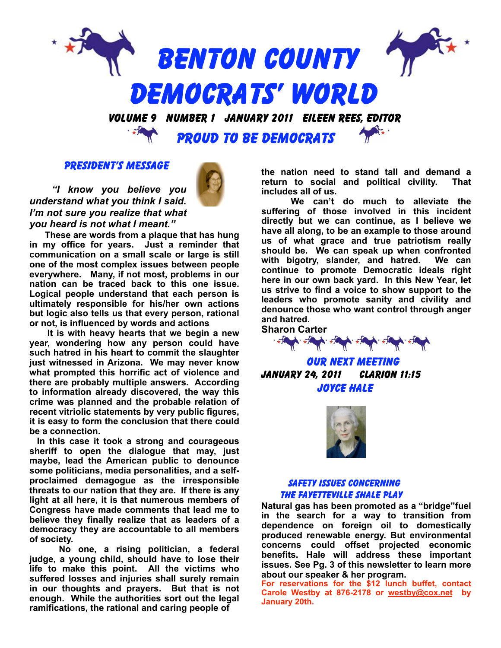

#### PRESIDENT'S MESSAGE

*"I know you believe you understand what you think I said. I'm not sure you realize that what you heard is not what I meant."*

**These are words from a plaque that has hung in my office for years. Just a reminder that communication on a small scale or large is still one of the most complex issues between people everywhere. Many, if not most, problems in our nation can be traced back to this one issue. Logical people understand that each person is ultimately responsible for his/her own actions but logic also tells us that every person, rational or not, is influenced by words and actions**

**It is with heavy hearts that we begin a new year, wondering how any person could have such hatred in his heart to commit the slaughter just witnessed in Arizona. We may never know what prompted this horrific act of violence and there are probably multiple answers. According to information already discovered, the way this crime was planned and the probable relation of recent vitriolic statements by very public figures, it is easy to form the conclusion that there could be a connection.** 

**In this case it took a strong and courageous sheriff to open the dialogue that may, just maybe, lead the American public to denounce some politicians, media personalities, and a selfproclaimed demagogue as the irresponsible threats to our nation that they are. If there is any light at all here, it is that numerous members of Congress have made comments that lead me to believe they finally realize that as leaders of a democracy they are accountable to all members of society.**

**No one, a rising politician, a federal judge, a young child, should have to lose their life to make this point. All the victims who suffered losses and injuries shall surely remain in our thoughts and prayers. But that is not enough. While the authorities sort out the legal ramifications, the rational and caring people of** 

**the nation need to stand tall and demand a return to social and political civility. That includes all of us.**

**We can't do much to alleviate the suffering of those involved in this incident directly but we can continue, as I believe we have all along, to be an example to those around us of what grace and true patriotism really should be. We can speak up when confronted with bigotry, slander, and hatred. We can continue to promote Democratic ideals right here in our own back yard. In this New Year, let us strive to find a voice to show support to the leaders who promote sanity and civility and denounce those who want control through anger and hatred.**



# OUR NEXT MEETING january 24, 2011 Clarion 11:15 JOYCE HALE



### Safety Issues concerning the Fayetteville Shale Play

**Natural gas has been promoted as a "bridge"fuel in the search for a way to transition from dependence on foreign oil to domestically produced renewable energy. But environmental concerns could offset projected economic benefits. Hale will address these important issues. See Pg. 3 of this newsletter to learn more about our speaker & her program.** 

**For reservations for the \$12 lunch buffet, contact Carole Westby at 876-2178 or westby@cox.net by January 20th.**